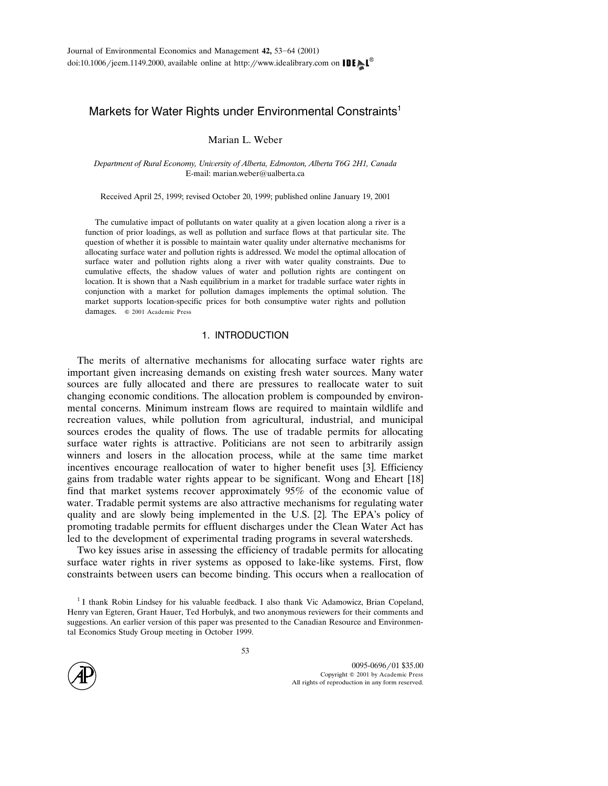# Markets for Water Rights under Environmental Constraints<sup>1</sup>

## Marian L. Weber

*Department of Rural Economy, Uni*-*ersity of Alberta, Edmonton, Alberta T6G 2H1, Canada* E-mail: marian.weber@ualberta.ca

Received April 25, 1999; revised October 20, 1999; published online January 19, 2001

The cumulative impact of pollutants on water quality at a given location along a river is a function of prior loadings, as well as pollution and surface flows at that particular site. The question of whether it is possible to maintain water quality under alternative mechanisms for allocating surface water and pollution rights is addressed. We model the optimal allocation of surface water and pollution rights along a river with water quality constraints. Due to cumulative effects, the shadow values of water and pollution rights are contingent on location. It is shown that a Nash equilibrium in a market for tradable surface water rights in conjunction with a market for pollution damages implements the optimal solution. The market supports location-specific prices for both consumptive water rights and pollution damages.  $@$  2001 Academic Press

### 1. INTRODUCTION

The merits of alternative mechanisms for allocating surface water rights are important given increasing demands on existing fresh water sources. Many water sources are fully allocated and there are pressures to reallocate water to suit changing economic conditions. The allocation problem is compounded by environmental concerns. Minimum instream flows are required to maintain wildlife and recreation values, while pollution from agricultural, industrial, and municipal sources erodes the quality of flows. The use of tradable permits for allocating surface water rights is attractive. Politicians are not seen to arbitrarily assign winners and losers in the allocation process, while at the same time market incentives encourage reallocation of water to higher benefit uses [3]. Efficiency gains from tradable water rights appear to be significant. Wong and Eheart [18] find that market systems recover approximately 95% of the economic value of water. Tradable permit systems are also attractive mechanisms for regulating water quality and are slowly being implemented in the U.S. [2]. The EPA's policy of promoting tradable permits for effluent discharges under the Clean Water Act has led to the development of experimental trading programs in several watersheds.

Two key issues arise in assessing the efficiency of tradable permits for allocating surface water rights in river systems as opposed to lake-like systems. First, flow constraints between users can become binding. This occurs when a reallocation of

<sup>&</sup>lt;sup>1</sup> I thank Robin Lindsey for his valuable feedback. I also thank Vic Adamowicz, Brian Copeland, Henry van Egteren, Grant Hauer, Ted Horbulyk, and two anonymous reviewers for their comments and suggestions. An earlier version of this paper was presented to the Canadian Resource and Environmental Economics Study Group meeting in October 1999.

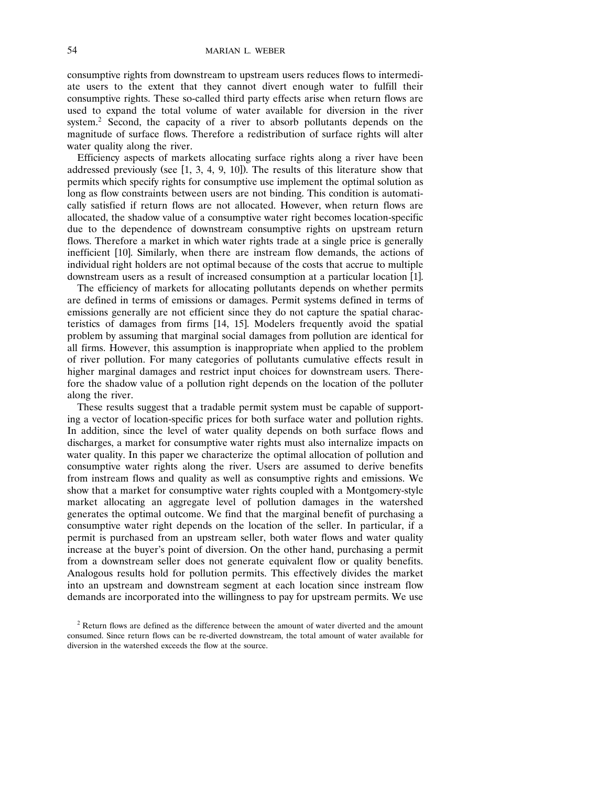consumptive rights from downstream to upstream users reduces flows to intermediate users to the extent that they cannot divert enough water to fulfill their consumptive rights. These so-called third party effects arise when return flows are used to expand the total volume of water available for diversion in the river system.<sup>2</sup> Second, the capacity of a river to absorb pollutants depends on the magnitude of surface flows. Therefore a redistribution of surface rights will alter water quality along the river.

Efficiency aspects of markets allocating surface rights along a river have been addressed previously (see  $[1, 3, 4, 9, 10]$ ). The results of this literature show that permits which specify rights for consumptive use implement the optimal solution as long as flow constraints between users are not binding. This condition is automatically satisfied if return flows are not allocated. However, when return flows are allocated, the shadow value of a consumptive water right becomes location-specific due to the dependence of downstream consumptive rights on upstream return flows. Therefore a market in which water rights trade at a single price is generally inefficient  $[10]$ . Similarly, when there are instream flow demands, the actions of individual right holders are not optimal because of the costs that accrue to multiple downstream users as a result of increased consumption at a particular location  $[1]$ .

The efficiency of markets for allocating pollutants depends on whether permits are defined in terms of emissions or damages. Permit systems defined in terms of emissions generally are not efficient since they do not capture the spatial characteristics of damages from firms [14, 15]. Modelers frequently avoid the spatial problem by assuming that marginal social damages from pollution are identical for all firms. However, this assumption is inappropriate when applied to the problem of river pollution. For many categories of pollutants cumulative effects result in higher marginal damages and restrict input choices for downstream users. Therefore the shadow value of a pollution right depends on the location of the polluter along the river.

These results suggest that a tradable permit system must be capable of supporting a vector of location-specific prices for both surface water and pollution rights. In addition, since the level of water quality depends on both surface flows and discharges, a market for consumptive water rights must also internalize impacts on water quality. In this paper we characterize the optimal allocation of pollution and consumptive water rights along the river. Users are assumed to derive benefits from instream flows and quality as well as consumptive rights and emissions. We show that a market for consumptive water rights coupled with a Montgomery-style market allocating an aggregate level of pollution damages in the watershed generates the optimal outcome. We find that the marginal benefit of purchasing a consumptive water right depends on the location of the seller. In particular, if a permit is purchased from an upstream seller, both water flows and water quality increase at the buyer's point of diversion. On the other hand, purchasing a permit from a downstream seller does not generate equivalent flow or quality benefits. Analogous results hold for pollution permits. This effectively divides the market into an upstream and downstream segment at each location since instream flow demands are incorporated into the willingness to pay for upstream permits. We use

 $2^2$  Return flows are defined as the difference between the amount of water diverted and the amount consumed. Since return flows can be re-diverted downstream, the total amount of water available for diversion in the watershed exceeds the flow at the source.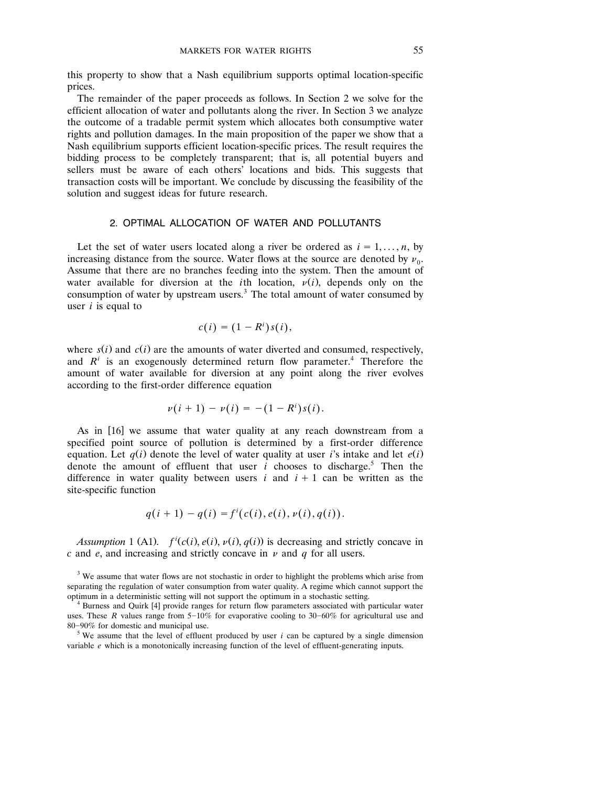this property to show that a Nash equilibrium supports optimal location-specific prices.

The remainder of the paper proceeds as follows. In Section 2 we solve for the efficient allocation of water and pollutants along the river. In Section 3 we analyze the outcome of a tradable permit system which allocates both consumptive water rights and pollution damages. In the main proposition of the paper we show that a Nash equilibrium supports efficient location-specific prices. The result requires the bidding process to be completely transparent; that is, all potential buyers and sellers must be aware of each others' locations and bids. This suggests that transaction costs will be important. We conclude by discussing the feasibility of the solution and suggest ideas for future research.

### 2. OPTIMAL ALLOCATION OF WATER AND POLLUTANTS

Let the set of water users located along a river be ordered as  $i = 1, \ldots, n$ , by increasing distance from the source. Water flows at the source are denoted by  $\nu_0$ . Assume that there are no branches feeding into the system. Then the amount of water available for diversion at the *i*th location,  $\nu(i)$ , depends only on the consumption of water by upstream users.<sup>3</sup> The total amount of water consumed by user  $i$  is equal to

$$
c(i) = (1 - Ri)s(i),
$$

where  $s(i)$  and  $c(i)$  are the amounts of water diverted and consumed, respectively, and  $R^i$  is an exogenously determined return flow parameter.<sup>4</sup> Therefore the amount of water available for diversion at any point along the river evolves according to the first-order difference equation

$$
\nu(i + 1) - \nu(i) = -(1 - R^{i})s(i).
$$

As in [16] we assume that water quality at any reach downstream from a specified point source of pollution is determined by a first-order difference equation. Let  $q(i)$  denote the level of water quality at user *i*'s intake and let  $e(i)$ denote the amount of effluent that user  $\hat{i}$  chooses to discharge.<sup>5</sup> Then the difference in water quality between users  $i$  and  $i + 1$  can be written as the site-specific function

$$
q(i + 1) - q(i) = f^{i}(c(i), e(i), \nu(i), q(i)).
$$

Assumption 1 (A1).  $f^i(c(i), e(i), v(i), q(i))$  is decreasing and strictly concave in  $c$  and  $e$ , and increasing and strictly concave in  $\nu$  and  $q$  for all users.

<sup>&</sup>lt;sup>3</sup> We assume that water flows are not stochastic in order to highlight the problems which arise from separating the regulation of water consumption from water quality. A regime which cannot support the optimum in a deterministic setting will not support the optimum in a stochastic setting.

 $<sup>4</sup>$  Burness and Quirk  $[4]$  provide ranges for return flow parameters associated with particular water</sup> uses. These *R* values range from  $5-10\%$  for evaporative cooling to  $30-60\%$  for agricultural use and 80-90% for domestic and municipal use.

<sup>&</sup>lt;sup>5</sup> We assume that the level of effluent produced by user *i* can be captured by a single dimension variable *e* which is a monotonically increasing function of the level of effluent-generating inputs.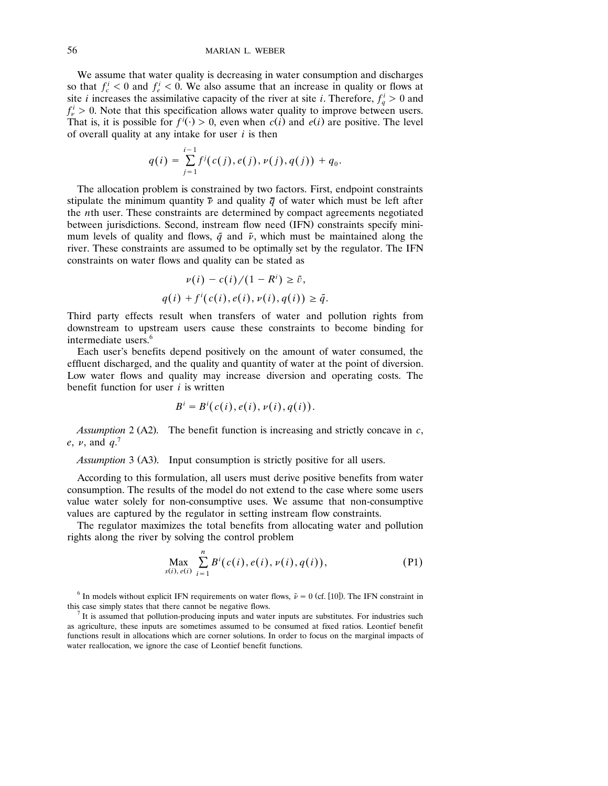We assume that water quality is decreasing in water consumption and discharges so that  $f_c^i < 0$  and  $f_e^i < 0$ . We also assume that an increase in quality or flows at site *i* increases the assimilative capacity of the river at site *i*. Therefore,  $f_q^i > 0$  and  $f_{\nu}^{i} > 0$ . Note that this specification allows water quality to improve between users. That is, it is possible for  $f'(\cdot) > 0$ , even when  $c(i)$  and  $e(i)$  are positive. The level of overall quality at any intake for user *i* is then

$$
q(i) = \sum_{j=1}^{i-1} f^j(c(j), e(j), \nu(j), q(j)) + q_0.
$$

The allocation problem is constrained by two factors. First, endpoint constraints stipulate the minimum quantity  $\bar{\nu}$  and quality  $\bar{q}$  of water which must be left after the *n*th user. These constraints are determined by compact agreements negotiated between jurisdictions. Second, instream flow need (IFN) constraints specify minimum levels of quality and flows,  $\tilde{q}$  and  $\tilde{\nu}$ , which must be maintained along the river. These constraints are assumed to be optimally set by the regulator. The IFN constraints on water flows and quality can be stated as

$$
\nu(i) - c(i)/(1 - Ri) \ge \tilde{\nu},
$$
  
 
$$
q(i) + fi(c(i), e(i), \nu(i), q(i)) \ge \tilde{q}.
$$

Third party effects result when transfers of water and pollution rights from downstream to upstream users cause these constraints to become binding for intermediate users.<sup>6</sup>

Each user's benefits depend positively on the amount of water consumed, the effluent discharged, and the quality and quantity of water at the point of diversion. Low water flows and quality may increase diversion and operating costs. The benefit function for user *i* is written

$$
Bi = Bi(c(i), e(i), v(i), q(i)).
$$

*Assumption* 2 (A2). The benefit function is increasing and strictly concave in  $c$ ,  $e, \nu,$  and  $q$ <sup>7</sup>

*Assumption* 3 (A3). Input consumption is strictly positive for all users.

According to this formulation, all users must derive positive benefits from water consumption. The results of the model do not extend to the case where some users value water solely for non-consumptive uses. We assume that non-consumptive values are captured by the regulator in setting instream flow constraints.

The regulator maximizes the total benefits from allocating water and pollution rights along the river by solving the control problem

$$
\max_{s(i),\,e(i)} \sum_{i=1}^{n} B^i(c(i), e(i), \nu(i), q(i)),
$$
\n(P1)

<sup>6</sup> In models without explicit IFN requirements on water flows,  $\tilde{\nu} = 0$  (cf. [10]). The IFN constraint in this case simply states that there cannot be negative flows.<br><sup>7</sup> It is assumed that pollution-producing inputs and water inputs are substitutes. For industries such

as agriculture, these inputs are sometimes assumed to be consumed at fixed ratios. Leontief benefit functions result in allocations which are corner solutions. In order to focus on the marginal impacts of water reallocation, we ignore the case of Leontief benefit functions.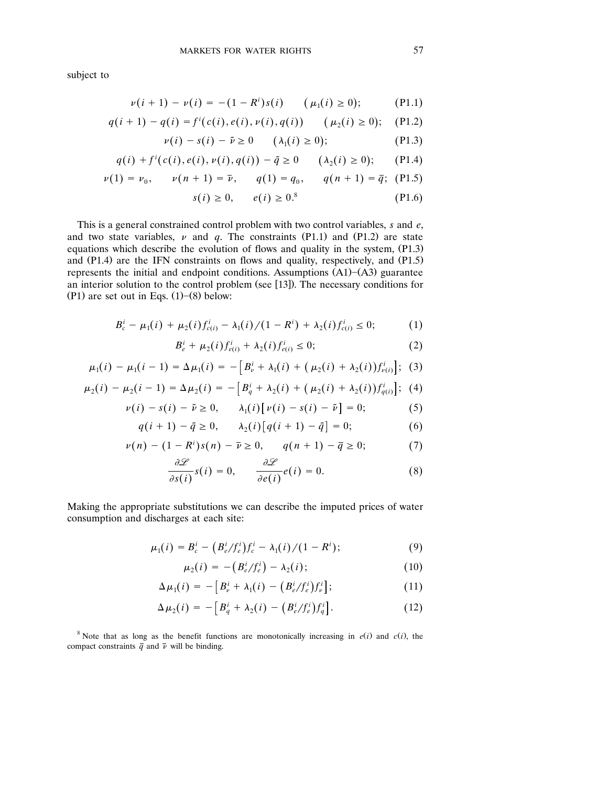subject to

$$
\nu(i+1) - \nu(i) = -(1 - R^{i})s(i) \qquad (\mu_1(i) \ge 0); \qquad (P1.1)
$$

$$
q(i + 1) - q(i) = f^{i}(c(i), e(i), \nu(i), q(i)) \qquad (\mu_2(i) \ge 0); \quad (P1.2)
$$

$$
\nu(i) - s(i) - \tilde{\nu} \ge 0 \qquad (\lambda_1(i) \ge 0); \tag{P1.3}
$$

$$
q(i) + f^{i}(c(i), e(i), \nu(i), q(i)) - \tilde{q} \ge 0 \qquad (\lambda_{2}(i) \ge 0); \qquad (P1.4)
$$

$$
\nu(1) = \nu_0
$$
,  $\nu(n+1) = \bar{\nu}$ ,  $q(1) = q_0$ ,  $q(n+1) = \bar{q}$ ; (P1.5)

$$
s(i) \ge 0, \qquad e(i) \ge 0.8
$$
 (P1.6)

This is a general constrained control problem with two control variables, *s* and *e*, and two state variables,  $\nu$  and  $q$ . The constraints (P1.1) and (P1.2) are state equations which describe the evolution of flows and quality in the system,  $(P1.3)$ and (P1.4) are the IFN constraints on flows and quality, respectively, and (P1.5) represents the initial and endpoint conditions. Assumptions  $(A1)$ – $(A3)$  guarantee an interior solution to the control problem (see  $[13]$ ). The necessary conditions for (P1) are set out in Eqs.  $(1)$ – $(8)$  below:

$$
B_c^i - \mu_1(i) + \mu_2(i) f_{c(i)}^i - \lambda_1(i) / (1 - R^i) + \lambda_2(i) f_{c(i)}^i \le 0; \tag{1}
$$

$$
B_e^i + \mu_2(i) f_{e(i)}^i + \lambda_2(i) f_{e(i)}^i \le 0; \tag{2}
$$

$$
\mu_1(i) - \mu_1(i-1) = \Delta \mu_1(i) = -[B_v^i + \lambda_1(i) + (\mu_2(i) + \lambda_2(i))f_{\nu(i)}^i]; \quad (3)
$$

$$
\mu_2(i) - \mu_2(i-1) = \Delta \mu_2(i) = -[B_q^i + \lambda_2(i) + (\mu_2(i) + \lambda_2(i))f_{q(i)}^i]; \tag{4}
$$

$$
\nu(i) - s(i) - \tilde{\nu} \ge 0, \qquad \lambda_1(i) [\nu(i) - s(i) - \tilde{\nu}] = 0; \tag{5}
$$

$$
q(i + 1) - \tilde{q} \ge 0, \qquad \lambda_2(i) [q(i + 1) - \tilde{q}] = 0; \tag{6}
$$

$$
\nu(n) - (1 - R^{i})s(n) - \bar{\nu} \ge 0, \qquad q(n+1) - \bar{q} \ge 0; \tag{7}
$$

$$
\frac{\partial \mathcal{L}}{\partial s(i)} s(i) = 0, \qquad \frac{\partial \mathcal{L}}{\partial e(i)} e(i) = 0.
$$
 (8)

Making the appropriate substitutions we can describe the imputed prices of water consumption and discharges at each site:

$$
\mu_1(i) = B_c^i - (B_e^i/f_c^i) f_c^i - \lambda_1(i)/(1 - R^i); \tag{9}
$$

$$
\mu_2(i) = -\left(B_e^i/f_e^i\right) - \lambda_2(i); \tag{10}
$$

$$
\Delta \mu_1(i) = -\left[B_\nu^i + \lambda_1(i) - \left(B_e^i/f_e^i\right) f_\nu^i\right];\tag{11}
$$

$$
\Delta \mu_2(i) = -\Big[B_q^i + \lambda_2(i) - \big(B_e^i/f_e^i\big)f_q^i\Big].\tag{12}
$$

<sup>8</sup> Note that as long as the benefit functions are monotonically increasing in  $e(i)$  and  $c(i)$ , the compact constraints  $\bar{q}$  and  $\bar{\nu}$  will be binding.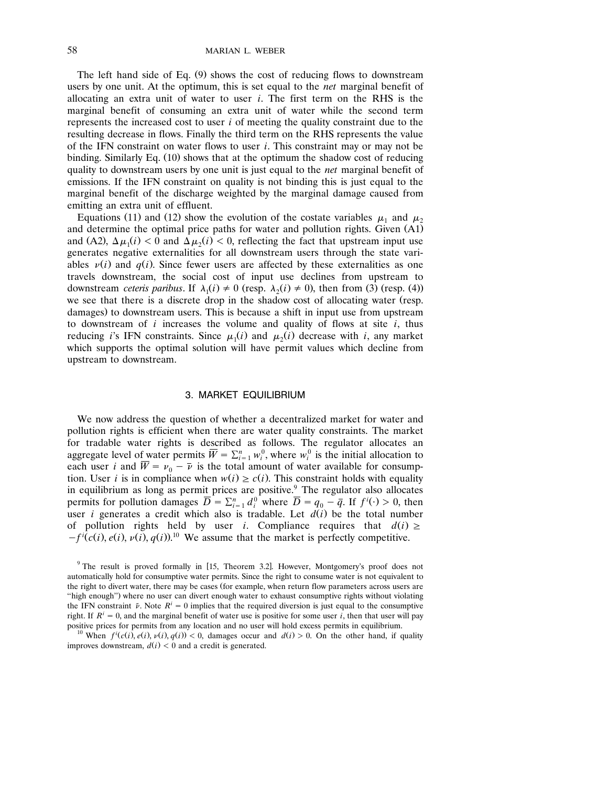The left hand side of Eq.  $(9)$  shows the cost of reducing flows to downstream users by one unit. At the optimum, this is set equal to the *net* marginal benefit of allocating an extra unit of water to user *i*. The first term on the RHS is the marginal benefit of consuming an extra unit of water while the second term represents the increased cost to user *i* of meeting the quality constraint due to the resulting decrease in flows. Finally the third term on the RHS represents the value of the IFN constraint on water flows to user *i*. This constraint may or may not be binding. Similarly Eq. (10) shows that at the optimum the shadow cost of reducing quality to downstream users by one unit is just equal to the *net* marginal benefit of emissions. If the IFN constraint on quality is not binding this is just equal to the marginal benefit of the discharge weighted by the marginal damage caused from emitting an extra unit of effluent.

Equations (11) and (12) show the evolution of the costate variables  $\mu_1$  and  $\mu_2$ and determine the optimal price paths for water and pollution rights. Given  $(A1)$ and (A2),  $\Delta \mu_1(i) < 0$  and  $\Delta \mu_2(i) < 0$ , reflecting the fact that upstream input use generates negative externalities for all downstream users through the state variables  $\nu(i)$  and  $q(i)$ . Since fewer users are affected by these externalities as one travels downstream, the social cost of input use declines from upstream to downstream *ceteris paribus*. If  $\lambda_1(i) \neq 0$  (resp.  $\lambda_2(i) \neq 0$ ), then from (3) (resp. (4)) we see that there is a discrete drop in the shadow cost of allocating water (resp. damages) to downstream users. This is because a shift in input use from upstream to downstream of  $i$  increases the volume and quality of flows at site  $i$ , thus reducing *i*'s IFN constraints. Since  $\mu_1(i)$  and  $\mu_2(i)$  decrease with *i*, any market which supports the optimal solution will have permit values which decline from upstream to downstream.

### 3. MARKET EQUILIBRIUM

We now address the question of whether a decentralized market for water and pollution rights is efficient when there are water quality constraints. The market for tradable water rights is described as follows. The regulator allocates an aggregate level of water permits  $\overline{W} = \sum_{i=1}^{n} w_i^0$ , where  $w_i^0$  is the initial allocation to each user *i* and  $\overline{W} = \nu_0 - \overline{\nu}$  is the total amount of water available for consumption. User *i* is in compliance when  $w(i) \ge c(i)$ . This constraint holds with equality in equilibrium as long as permit prices are positive.<sup>9</sup> The regulator also allocates permits for pollution damages  $\overline{D} = \sum_{i=1}^{n} d_i^0$  where  $\overline{D} = q_0 - \overline{q}$ . If  $f^i(\cdot) > 0$ , then user *i* generates a credit which also is tradable. Let  $d(i)$  be the total number of pollution rights held by user *i*. Compliance requires that  $d(i) \ge$  $-f^{i}(c(i), e(i), \nu(i), q(i))$ <sup>10</sup> We assume that the market is perfectly competitive.

 $9$  The result is proved formally in [15, Theorem 3.2]. However, Montgomery's proof does not automatically hold for consumptive water permits. Since the right to consume water is not equivalent to the right to divert water, there may be cases (for example, when return flow parameters across users are "high enough") where no user can divert enough water to exhaust consumptive rights without violating the IFN constraint  $\tilde{\nu}$ . Note  $R^i = 0$  implies that the required diversion is just equal to the consumptive right. If  $R<sup>i</sup> = 0$ , and the marginal benefit of water use is positive for some user *i*, then that user will pay

positive prices for permits from any location and no user will hold excess permits in equilibrium.<br><sup>10</sup> When  $f^i(c(i), e(i), \nu(i), q(i)) < 0$ , damages occur and  $d(i) > 0$ . On the other hand, if quality improves downstream,  $d(i) < 0$  and a credit is generated.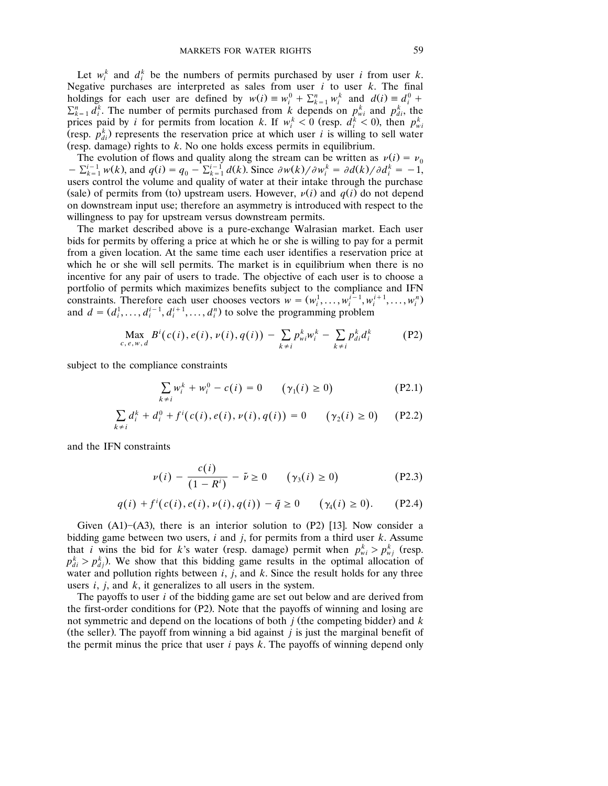Let  $w_i^k$  and  $d_i^k$  be the numbers of permits purchased by user *i* from user *k*. Negative purchases are interpreted as sales from user *i* to user *k*. The final holdings for each user are defined by  $w(i) \equiv w_i^0 + \sum_{k=1}^n w_i^k$  and  $d(i) \equiv d_i^0 +$  $\sum_{k=1}^{n} d_i^k$ . The number of permits purchased from *k* depends on  $p_{wi}^k$  and  $p_{di}^k$ , the prices paid by *i* for permits from location *k*. If  $w_i^k < 0$  (resp.  $d_i^k < 0$ ), then  $p_{wi}^k$ (resp.  $p_{di}^{k}$ ) represents the reservation price at which user *i* is willing to sell water  $(resp. damage)$  rights to  $k$ . No one holds excess permits in equilibrium.

The evolution of flows and quality along the stream can be written as  $v(i) = v_0$  $\sum_{k=1}^{i-1} w(k)$ , and  $q(i) = q_0 - \sum_{k=1}^{i-1} d(k)$ . Since  $\frac{\partial w(k)}{\partial w_i^k} = \frac{\partial d(k)}{\partial d_i^k} = -1$ , users control the volume and quality of water at their intake through the purchase (sale) of permits from (to) upstream users. However,  $\nu(i)$  and  $q(i)$  do not depend on downstream input use; therefore an asymmetry is introduced with respect to the willingness to pay for upstream versus downstream permits.

The market described above is a pure-exchange Walrasian market. Each user bids for permits by offering a price at which he or she is willing to pay for a permit from a given location. At the same time each user identifies a reservation price at which he or she will sell permits. The market is in equilibrium when there is no incentive for any pair of users to trade. The objective of each user is to choose a portfolio of permits which maximizes benefits subject to the compliance and IFN constraints. Therefore each user chooses vectors  $w = (w_i^1, \ldots, w_i^{i-1}, w_i^{i+1}, \ldots, w_i^n)$ and  $d = (d_i^1, \ldots, d_i^{i-1}, d_i^{i+1}, \ldots, d_i^n)$  to solve the programming problem

$$
\max_{c, e, w, d} B^{i}(c(i), e(i), \nu(i), q(i)) - \sum_{k \neq i} p_{wi}^{k} w_{i}^{k} - \sum_{k \neq i} p_{di}^{k} d_{i}^{k}
$$
 (P2)

subject to the compliance constraints

$$
\sum_{k \neq i} w_i^k + w_i^0 - c(i) = 0 \qquad (\gamma_1(i) \geq 0)
$$
 (P2.1)

$$
\sum_{k \neq i} d_i^k + d_i^0 + f^i(c(i), e(i), v(i), q(i)) = 0 \qquad (\gamma_2(i) \geq 0) \qquad (P2.2)
$$

and the IFN constraints

$$
\nu(i) - \frac{c(i)}{(1 - R^{i})} - \tilde{\nu} \ge 0 \qquad (\gamma_3(i) \ge 0)
$$
 (P2.3)

$$
q(i) + f^{i}(c(i), e(i), \nu(i), q(i)) - \tilde{q} \ge 0 \qquad (\gamma_{4}(i) \ge 0). \qquad (P2.4)
$$

Given  $(A1)$ – $(A3)$ , there is an interior solution to  $(P2)$  [13]. Now consider a bidding game between two users, *i* and *j*, for permits from a third user *k*. Assume that *i* wins the bid for *k*'s water (resp. damage) permit when  $p_{wi}^k > p_{wj}^k$  (resp.  $p_{di}^k > p_{dj}^k$ ). We show that this bidding game results in the optimal allocation of water and pollution rights between *i*, *j*, and *k*. Since the result holds for any three users *i*, *j*, and *k*, it generalizes to all users in the system.

The payoffs to user *i* of the bidding game are set out below and are derived from the first-order conditions for (P2). Note that the payoffs of winning and losing are not symmetric and depend on the locations of both  $j$  (the competing bidder) and  $k$ (the seller). The payoff from winning a bid against  $j$  is just the marginal benefit of the permit minus the price that user *i* pays *k*. The payoffs of winning depend only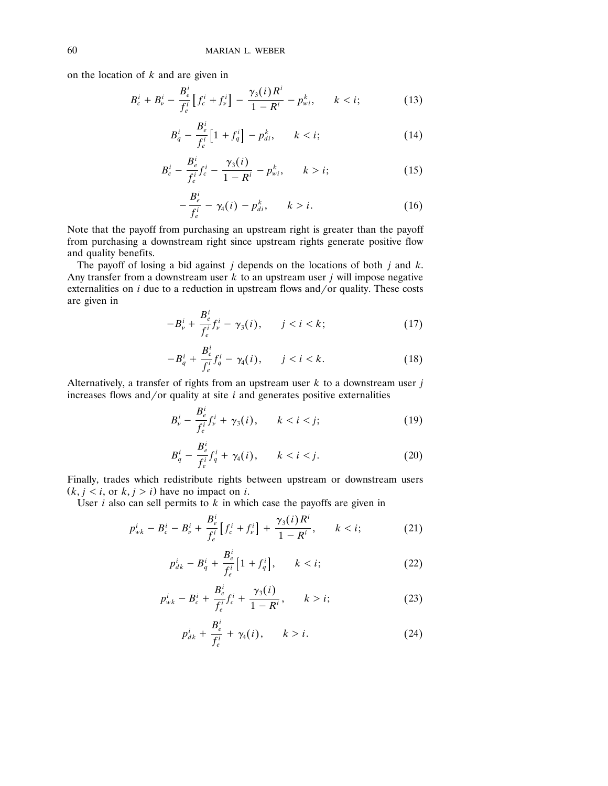on the location of *k* and are given in

$$
B_c^i + B_{\nu}^i - \frac{B_e^i}{f_e^i} \left[ f_c^i + f_{\nu}^i \right] - \frac{\gamma_3(i) R^i}{1 - R^i} - p_{\nu}^k, \qquad k < i; \tag{13}
$$

$$
B_q^i - \frac{B_e^i}{f_e^i} \left[ 1 + f_q^i \right] - p_{di}^k, \qquad k < i; \tag{14}
$$

$$
B_c^i - \frac{B_e^i}{f_e^i} f_c^i - \frac{\gamma_3(i)}{1 - R^i} - p_{wi}^k, \qquad k > i; \tag{15}
$$

$$
-\frac{B_e^i}{f_e^i} - \gamma_4(i) - p_{di}^k, \qquad k > i.
$$
 (16)

Note that the payoff from purchasing an upstream right is greater than the payoff from purchasing a downstream right since upstream rights generate positive flow and quality benefits.

*Bi*

The payoff of losing a bid against *j* depends on the locations of both *j* and *k*. Any transfer from a downstream user *k* to an upstream user *j* will impose negative externalities on  $i$  due to a reduction in upstream flows and/or quality. These costs are given in

$$
-B_{\nu}^{i} + \frac{B_{e}^{i}}{f_{e}^{i}} f_{\nu}^{i} - \gamma_{3}(i), \qquad j < i < k; \tag{17}
$$

$$
-B_q^i + \frac{B_e^i}{f_e^i} f_q^i - \gamma_4(i), \qquad j < i < k. \tag{18}
$$

Alternatively, a transfer of rights from an upstream user *k* to a downstream user *j* increases flows and/or quality at site  $i$  and generates positive externalities

$$
B_{\nu}^{i} - \frac{B_{e}^{i}}{f_{e}^{i}} f_{\nu}^{i} + \gamma_{3}(i), \qquad k < i < j;
$$
 (19)

$$
B_q^i - \frac{B_e^i}{f_e^i} f_q^i + \gamma_4(i), \qquad k < i < j. \tag{20}
$$

Finally, trades which redistribute rights between upstream or downstream users  $(k, j \leq i$ , or  $k, j > i$ ) have no impact on *i*.

User *i* also can sell permits to  $k$  in which case the payoffs are given in

$$
p_{wk}^i - B_c^i - B_\nu^i + \frac{B_e^i}{f_e^i} \left[ f_c^i + f_\nu^i \right] + \frac{\gamma_3(i) R^i}{1 - R^i}, \qquad k < i; \tag{21}
$$

$$
p_{dk}^{i} - B_{q}^{i} + \frac{B_{e}^{i}}{f_{e}^{i}} \left[1 + f_{q}^{i}\right], \qquad k < i;
$$
 (22)

$$
p_{wk}^i - B_c^i + \frac{B_e^i}{f_e^i} f_c^i + \frac{\gamma_3(i)}{1 - R^i}, \qquad k > i; \tag{23}
$$

$$
p_{dk}^{i} + \frac{B_e^{i}}{f_e^{i}} + \gamma_4(i), \qquad k > i.
$$
 (24)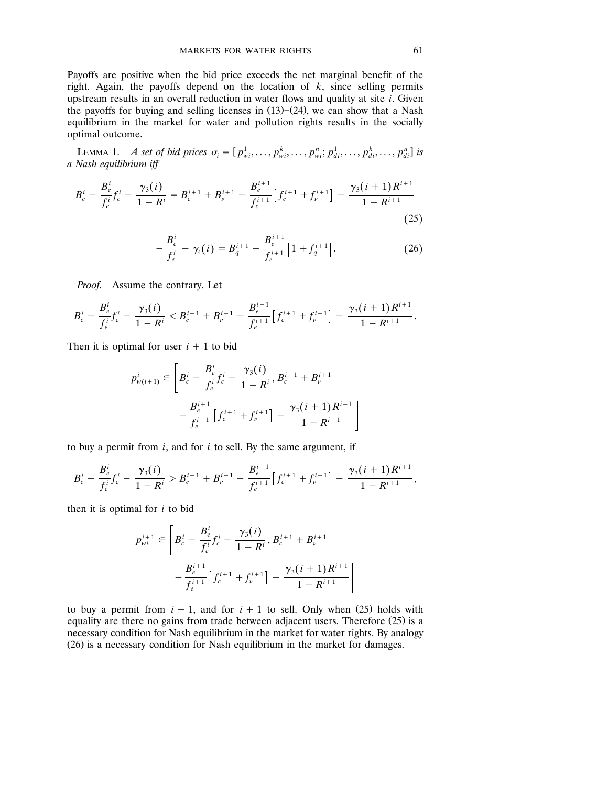MARKETS FOR WATER RIGHTS 61

Payoffs are positive when the bid price exceeds the net marginal benefit of the right. Again, the payoffs depend on the location of *k*, since selling permits upstream results in an overall reduction in water flows and quality at site *i*. Given the payoffs for buying and selling licenses in  $(13)$ – $(24)$ , we can show that a Nash equilibrium in the market for water and pollution rights results in the socially optimal outcome.

**LEMMA 1.** *A set of bid prices*  $\sigma_i = [p_{wi}^1, \ldots, p_{wi}^k, \ldots, p_{wi}^n; p_{di}^1, \ldots, p_{di}^k, \ldots, p_{di}^n]$  is *a Nash equilibrium iff*

$$
B_c^i - \frac{B_e^i}{f_e^i} f_c^i - \frac{\gamma_3(i)}{1 - R^i} = B_c^{i+1} + B_\nu^{i+1} - \frac{B_e^{i+1}}{f_e^{i+1}} \Big[ f_c^{i+1} + f_\nu^{i+1} \Big] - \frac{\gamma_3(i+1)R^{i+1}}{1 - R^{i+1}} \tag{25}
$$

$$
-\frac{B_e^i}{f_e^i} - \gamma_4(i) = B_q^{i+1} - \frac{B_e^{i+1}}{f_e^{i+1}} \Big[ 1 + f_q^{i+1} \Big]. \tag{26}
$$

*Proof.* Assume the contrary. Let

$$
B_c^i - \frac{B_e^i}{f_e^i} f_c^i - \frac{\gamma_3(i)}{1 - R^i} < B_c^{i+1} + B_{\nu}^{i+1} - \frac{B_e^{i+1}}{f_e^{i+1}} \Big[ f_c^{i+1} + f_{\nu}^{i+1} \Big] - \frac{\gamma_3(i+1)R^{i+1}}{1 - R^{i+1}}.
$$

Then it is optimal for user  $i + 1$  to bid

$$
p_{w(i+1)}^{i} \in \left[ B_c^i - \frac{B_e^i}{f_c^i} f_c^i - \frac{\gamma_3(i)}{1 - R^i}, B_c^{i+1} + B_\nu^{i+1} - \frac{B_e^{i+1}}{f_c^{i+1}} \left[ f_c^{i+1} + f_\nu^{i+1} \right] - \frac{\gamma_3(i+1)R^{i+1}}{1 - R^{i+1}} \right]
$$

to buy a permit from *i*, and for *i* to sell. By the same argument, if

$$
B_c^i - \frac{B_e^i}{f_e^i} f_c^i - \frac{\gamma_3(i)}{1 - R^i} > B_c^{i+1} + B_{\nu}^{i+1} - \frac{B_e^{i+1}}{f_e^{i+1}} \Big[ f_c^{i+1} + f_{\nu}^{i+1} \Big] - \frac{\gamma_3(i+1)R^{i+1}}{1 - R^{i+1}},
$$

then it is optimal for  $i$  to bid

$$
p_{wi}^{i+1} \in \left[ B_c^i - \frac{B_e^i}{f_c^i} f_c^i - \frac{\gamma_3(i)}{1 - R^i}, B_c^{i+1} + B_\nu^{i+1} - \frac{B_e^{i+1}}{f_c^{i+1}} \left[ f_c^{i+1} + f_\nu^{i+1} \right] - \frac{\gamma_3(i+1)R^{i+1}}{1 - R^{i+1}} \right]
$$

to buy a permit from  $i + 1$ , and for  $i + 1$  to sell. Only when (25) holds with equality are there no gains from trade between adjacent users. Therefore  $(25)$  is a necessary condition for Nash equilibrium in the market for water rights. By analogy  $(26)$  is a necessary condition for Nash equilibrium in the market for damages.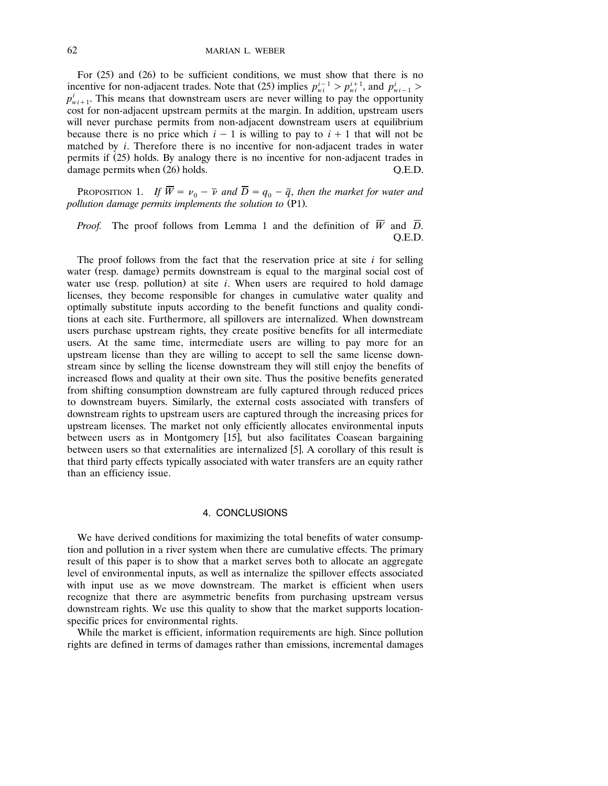For  $(25)$  and  $(26)$  to be sufficient conditions, we must show that there is no incentive for non-adjacent trades. Note that (25) implies  $p_{wi}^{i-1} > p_{wi}^{i+1}$ , and  $p_{wi-1}^{i} > p_{wi+1}^{i}$ . This means that downstream users are never willing to pay the opportunity cost for non-adjacent upstream permits at the margin. In addition, upstream users will never purchase permits from non-adjacent downstream users at equilibrium because there is no price which  $i - 1$  is willing to pay to  $i + 1$  that will not be matched by *i*. Therefore there is no incentive for non-adjacent trades in water permits if  $(25)$  holds. By analogy there is no incentive for non-adjacent trades in  $d$  damage permits when  $(26)$  holds.  $Q.E.D.$ 

PROPOSITION 1. If  $\overline{W} = \nu_0 - \overline{\nu}$  and  $\overline{D} = q_0 - \overline{q}$ , then the market for water and *pollution damage permits implements the solution to*  $(P1)$ .

*Proof.* The proof follows from Lemma 1 and the definition of  $\overline{W}$  and  $\overline{D}$ . Q.E.D.

The proof follows from the fact that the reservation price at site *i* for selling water (resp. damage) permits downstream is equal to the marginal social cost of water use (resp. pollution) at site  $i$ . When users are required to hold damage licenses, they become responsible for changes in cumulative water quality and optimally substitute inputs according to the benefit functions and quality conditions at each site. Furthermore, all spillovers are internalized. When downstream users purchase upstream rights, they create positive benefits for all intermediate users. At the same time, intermediate users are willing to pay more for an upstream license than they are willing to accept to sell the same license downstream since by selling the license downstream they will still enjoy the benefits of increased flows and quality at their own site. Thus the positive benefits generated from shifting consumption downstream are fully captured through reduced prices to downstream buyers. Similarly, the external costs associated with transfers of downstream rights to upstream users are captured through the increasing prices for upstream licenses. The market not only efficiently allocates environmental inputs between users as in Montgomery [15], but also facilitates Coasean bargaining between users so that externalities are internalized [5]. A corollary of this result is that third party effects typically associated with water transfers are an equity rather than an efficiency issue.

### 4. CONCLUSIONS

We have derived conditions for maximizing the total benefits of water consumption and pollution in a river system when there are cumulative effects. The primary result of this paper is to show that a market serves both to allocate an aggregate level of environmental inputs, as well as internalize the spillover effects associated with input use as we move downstream. The market is efficient when users recognize that there are asymmetric benefits from purchasing upstream versus downstream rights. We use this quality to show that the market supports locationspecific prices for environmental rights.

While the market is efficient, information requirements are high. Since pollution rights are defined in terms of damages rather than emissions, incremental damages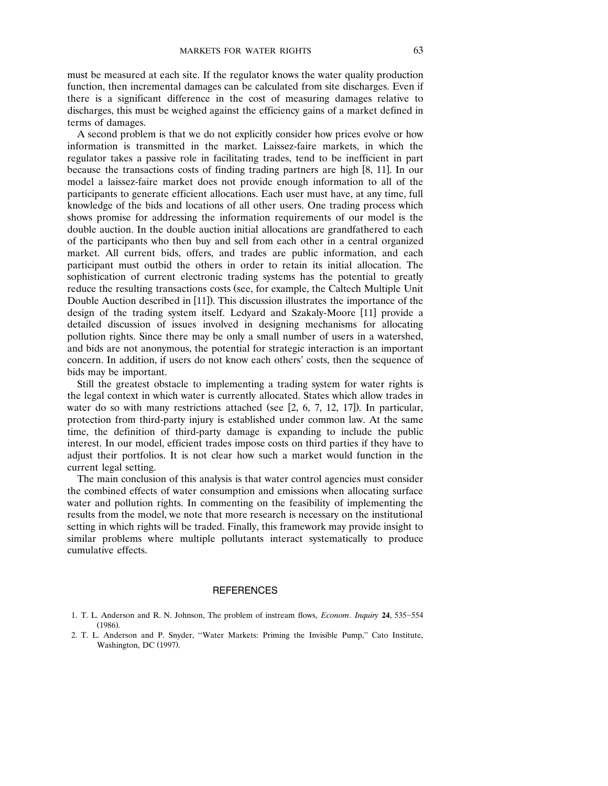must be measured at each site. If the regulator knows the water quality production function, then incremental damages can be calculated from site discharges. Even if there is a significant difference in the cost of measuring damages relative to discharges, this must be weighed against the efficiency gains of a market defined in terms of damages.

A second problem is that we do not explicitly consider how prices evolve or how information is transmitted in the market. Laissez-faire markets, in which the regulator takes a passive role in facilitating trades, tend to be inefficient in part because the transactions costs of finding trading partners are high  $[8, 11]$ . In our model a laissez-faire market does not provide enough information to all of the participants to generate efficient allocations. Each user must have, at any time, full knowledge of the bids and locations of all other users. One trading process which shows promise for addressing the information requirements of our model is the double auction. In the double auction initial allocations are grandfathered to each of the participants who then buy and sell from each other in a central organized market. All current bids, offers, and trades are public information, and each participant must outbid the others in order to retain its initial allocation. The sophistication of current electronic trading systems has the potential to greatly reduce the resulting transactions costs (see, for example, the Caltech Multiple Unit Double Auction described in  $[11]$ . This discussion illustrates the importance of the design of the trading system itself. Ledvard and Szakaly-Moore [11] provide a detailed discussion of issues involved in designing mechanisms for allocating pollution rights. Since there may be only a small number of users in a watershed, and bids are not anonymous, the potential for strategic interaction is an important concern. In addition, if users do not know each others' costs, then the sequence of bids may be important.

Still the greatest obstacle to implementing a trading system for water rights is the legal context in which water is currently allocated. States which allow trades in water do so with many restrictions attached (see  $[2, 6, 7, 12, 17]$ ). In particular, protection from third-party injury is established under common law. At the same time, the definition of third-party damage is expanding to include the public interest. In our model, efficient trades impose costs on third parties if they have to adjust their portfolios. It is not clear how such a market would function in the current legal setting.

The main conclusion of this analysis is that water control agencies must consider the combined effects of water consumption and emissions when allocating surface water and pollution rights. In commenting on the feasibility of implementing the results from the model, we note that more research is necessary on the institutional setting in which rights will be traded. Finally, this framework may provide insight to similar problems where multiple pollutants interact systematically to produce cumulative effects.

#### **REFERENCES**

- 1. T. L. Anderson and R. N. Johnson, The problem of instream flows, *Econom. Inquiry* 24, 535-554  $(1986)$ .
- 2. T. L. Anderson and P. Snyder, ''Water Markets: Priming the Invisible Pump,'' Cato Institute, Washington, DC (1997).